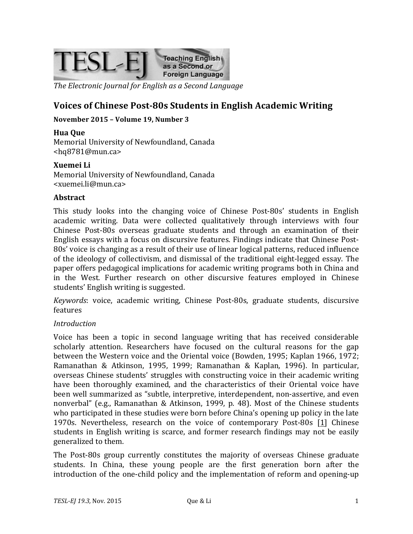

The Electronic Journal for English as a Second Language

# **Voices of Chinese Post-80s Students in English Academic Writing**

#### November 2015 - Volume 19, Number 3

**Hua Que** Memorial University of Newfoundland, Canada <hq8781@mun.ca>

**Xuemei Li** Memorial University of Newfoundland, Canada

<xuemei.li@mun.ca>

#### **Abstract**

This study looks into the changing voice of Chinese Post-80s' students in English academic writing. Data were collected qualitatively through interviews with four Chinese Post-80s overseas graduate students and through an examination of their English essays with a focus on discursive features. Findings indicate that Chinese Post-80s' voice is changing as a result of their use of linear logical patterns, reduced influence of the ideology of collectivism, and dismissal of the traditional eight-legged essay. The paper offers pedagogical implications for academic writing programs both in China and in the West. Further research on other discursive features employed in Chinese students' English writing is suggested.

*Keywords*: voice, academic writing, Chinese Post-80s, graduate students, discursive features

#### *Introduction*

Voice has been a topic in second language writing that has received considerable scholarly attention. Researchers have focused on the cultural reasons for the gap between the Western voice and the Oriental voice (Bowden, 1995; Kaplan 1966, 1972; Ramanathan & Atkinson, 1995, 1999; Ramanathan & Kaplan, 1996). In particular, overseas Chinese students' struggles with constructing voice in their academic writing have been thoroughly examined, and the characteristics of their Oriental voice have been well summarized as "subtle, interpretive, interdependent, non-assertive, and even nonverbal" (e.g., Ramanathan & Atkinson, 1999, p. 48). Most of the Chinese students who participated in these studies were born before China's opening up policy in the late 1970s. Nevertheless, research on the voice of contemporary Post-80s  $[1]$  Chinese students in English writing is scarce, and former research findings may not be easily generalized to them.

The Post-80s group currently constitutes the majority of overseas Chinese graduate students. In China, these young people are the first generation born after the introduction of the one-child policy and the implementation of reform and opening-up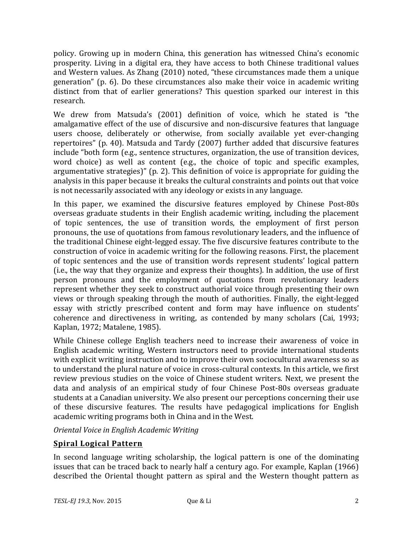policy. Growing up in modern China, this generation has witnessed China's economic prosperity. Living in a digital era, they have access to both Chinese traditional values and Western values. As Zhang (2010) noted, "these circumstances made them a unique generation" (p. 6). Do these circumstances also make their voice in academic writing distinct from that of earlier generations? This question sparked our interest in this research.

We drew from Matsuda's (2001) definition of voice, which he stated is "the amalgamative effect of the use of discursive and non-discursive features that language users choose, deliberately or otherwise, from socially available yet ever-changing repertoires" (p. 40). Matsuda and Tardy (2007) further added that discursive features include "both form (e.g., sentence structures, organization, the use of transition devices, word choice) as well as content (e.g., the choice of topic and specific examples, argumentative strategies)"  $(p. 2)$ . This definition of voice is appropriate for guiding the analysis in this paper because it breaks the cultural constraints and points out that voice is not necessarily associated with any ideology or exists in any language.

In this paper, we examined the discursive features employed by Chinese Post-80s overseas graduate students in their English academic writing, including the placement of topic sentences, the use of transition words, the employment of first person pronouns, the use of quotations from famous revolutionary leaders, and the influence of the traditional Chinese eight-legged essay. The five discursive features contribute to the construction of voice in academic writing for the following reasons. First, the placement of topic sentences and the use of transition words represent students' logical pattern (i.e., the way that they organize and express their thoughts). In addition, the use of first person pronouns and the employment of quotations from revolutionary leaders represent whether they seek to construct authorial voice through presenting their own views or through speaking through the mouth of authorities. Finally, the eight-legged essay with strictly prescribed content and form may have influence on students' coherence and directiveness in writing, as contended by many scholars (Cai, 1993; Kaplan, 1972; Matalene, 1985).

While Chinese college English teachers need to increase their awareness of voice in English academic writing, Western instructors need to provide international students with explicit writing instruction and to improve their own sociocultural awareness so as to understand the plural nature of voice in cross-cultural contexts. In this article, we first review previous studies on the voice of Chinese student writers. Next, we present the data and analysis of an empirical study of four Chinese Post-80s overseas graduate students at a Canadian university. We also present our perceptions concerning their use of these discursive features. The results have pedagogical implications for English academic writing programs both in China and in the West.

*Oriental Voice in English Academic Writing*

## **Spiral Logical Pattern**

In second language writing scholarship, the logical pattern is one of the dominating issues that can be traced back to nearly half a century ago. For example, Kaplan (1966) described the Oriental thought pattern as spiral and the Western thought pattern as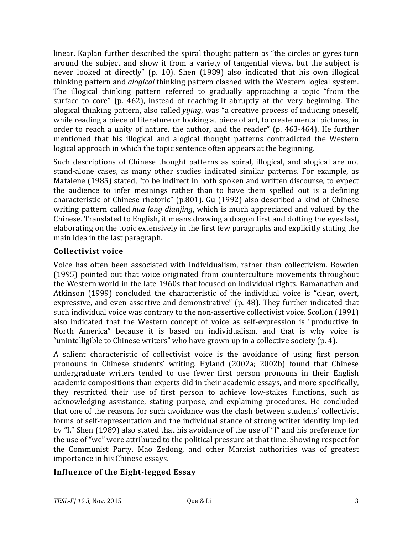linear. Kaplan further described the spiral thought pattern as "the circles or gyres turn around the subject and show it from a variety of tangential views, but the subject is never looked at directly" (p. 10). Shen (1989) also indicated that his own illogical thinking pattern and *alogical* thinking pattern clashed with the Western logical system. The illogical thinking pattern referred to gradually approaching a topic "from the surface to core" (p.  $462$ ), instead of reaching it abruptly at the very beginning. The alogical thinking pattern, also called *yijing*, was "a creative process of inducing oneself, while reading a piece of literature or looking at piece of art, to create mental pictures, in order to reach a unity of nature, the author, and the reader" (p. 463-464). He further mentioned that his illogical and alogical thought patterns contradicted the Western logical approach in which the topic sentence often appears at the beginning.

Such descriptions of Chinese thought patterns as spiral, illogical, and alogical are not stand-alone cases, as many other studies indicated similar patterns. For example, as Matalene (1985) stated, "to be indirect in both spoken and written discourse, to expect the audience to infer meanings rather than to have them spelled out is a defining characteristic of Chinese rhetoric" (p.801). Gu (1992) also described a kind of Chinese writing pattern called *hua long dianjing*, which is much appreciated and valued by the Chinese. Translated to English, it means drawing a dragon first and dotting the eyes last, elaborating on the topic extensively in the first few paragraphs and explicitly stating the main idea in the last paragraph.

### **Collectivist voice**

Voice has often been associated with individualism, rather than collectivism. Bowden (1995) pointed out that voice originated from counterculture movements throughout the Western world in the late 1960s that focused on individual rights. Ramanathan and Atkinson (1999) concluded the characteristic of the individual voice is "clear, overt, expressive, and even assertive and demonstrative" (p. 48). They further indicated that such individual voice was contrary to the non-assertive collectivist voice. Scollon (1991) also indicated that the Western concept of voice as self-expression is "productive in North America" because it is based on individualism, and that is why voice is "unintelligible to Chinese writers" who have grown up in a collective society  $(p. 4)$ .

A salient characteristic of collectivist voice is the avoidance of using first person pronouns in Chinese students' writing. Hyland (2002a; 2002b) found that Chinese undergraduate writers tended to use fewer first person pronouns in their English academic compositions than experts did in their academic essays, and more specifically, they restricted their use of first person to achieve low-stakes functions, such as acknowledging assistance, stating purpose, and explaining procedures. He concluded that one of the reasons for such avoidance was the clash between students' collectivist forms of self-representation and the individual stance of strong writer identity implied by "I." Shen (1989) also stated that his avoidance of the use of "I" and his preference for the use of "we" were attributed to the political pressure at that time. Showing respect for the Communist Party, Mao Zedong, and other Marxist authorities was of greatest importance in his Chinese essays.

## **Influence of the Eight-legged Essay**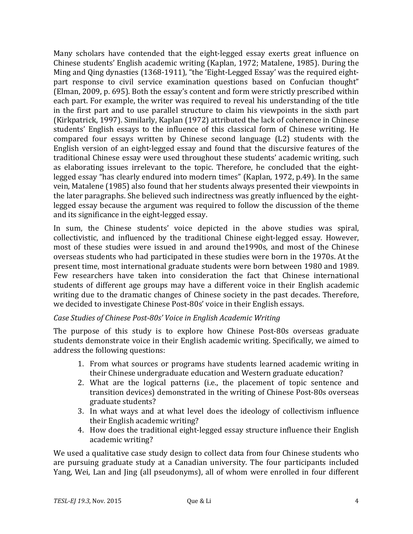Many scholars have contended that the eight-legged essay exerts great influence on Chinese students' English academic writing (Kaplan, 1972; Matalene, 1985). During the Ming and Qing dynasties (1368-1911), "the 'Eight-Legged Essay' was the required eightpart response to civil service examination questions based on Confucian thought" (Elman, 2009, p. 695). Both the essay's content and form were strictly prescribed within each part. For example, the writer was required to reveal his understanding of the title in the first part and to use parallel structure to claim his viewpoints in the sixth part (Kirkpatrick, 1997). Similarly, Kaplan (1972) attributed the lack of coherence in Chinese students' English essays to the influence of this classical form of Chinese writing. He compared four essays written by Chinese second language  $(L2)$  students with the English version of an eight-legged essay and found that the discursive features of the traditional Chinese essay were used throughout these students' academic writing, such as elaborating issues irrelevant to the topic. Therefore, he concluded that the eightlegged essay "has clearly endured into modern times" (Kaplan, 1972, p.49). In the same vein, Matalene (1985) also found that her students always presented their viewpoints in the later paragraphs. She believed such indirectness was greatly influenced by the eightlegged essay because the argument was required to follow the discussion of the theme and its significance in the eight-legged essay.

In sum, the Chinese students' voice depicted in the above studies was spiral, collectivistic, and influenced by the traditional Chinese eight-legged essay. However, most of these studies were issued in and around the1990s, and most of the Chinese overseas students who had participated in these studies were born in the 1970s. At the present time, most international graduate students were born between 1980 and 1989. Few researchers have taken into consideration the fact that Chinese international students of different age groups may have a different voice in their English academic writing due to the dramatic changes of Chinese society in the past decades. Therefore, we decided to investigate Chinese Post-80s' voice in their English essays.

#### *Case Studies of Chinese Post-80s' Voice in English Academic Writing*

The purpose of this study is to explore how Chinese Post-80s overseas graduate students demonstrate voice in their English academic writing. Specifically, we aimed to address the following questions:

- 1. From what sources or programs have students learned academic writing in their Chinese undergraduate education and Western graduate education?
- 2. What are the logical patterns (i.e., the placement of topic sentence and transition devices) demonstrated in the writing of Chinese Post-80s overseas graduate students?
- 3. In what ways and at what level does the ideology of collectivism influence their English academic writing?
- 4. How does the traditional eight-legged essay structure influence their English academic writing?

We used a qualitative case study design to collect data from four Chinese students who are pursuing graduate study at a Canadian university. The four participants included Yang, Wei, Lan and ling (all pseudonyms), all of whom were enrolled in four different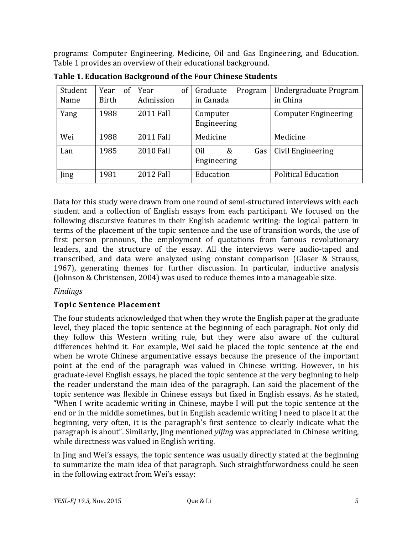programs: Computer Engineering, Medicine, Oil and Gas Engineering, and Education. Table 1 provides an overview of their educational background.

| Student<br>Name | of<br>Year<br>Birth | 0f<br>Year<br>Admission | Graduate<br>Program<br>in Canada | Undergraduate Program<br>in China |
|-----------------|---------------------|-------------------------|----------------------------------|-----------------------------------|
| Yang            | 1988                | <b>2011 Fall</b>        | Computer<br>Engineering          | <b>Computer Engineering</b>       |
| Wei             | 1988                | <b>2011 Fall</b>        | Medicine                         | Medicine                          |
| Lan             | 1985                | <b>2010 Fall</b>        | Oil<br>&<br>Gas<br>Engineering   | Civil Engineering                 |
| Jing            | 1981                | 2012 Fall               | Education                        | <b>Political Education</b>        |

**Table 1. Education Background of the Four Chinese Students** 

Data for this study were drawn from one round of semi-structured interviews with each student and a collection of English essays from each participant. We focused on the following discursive features in their English academic writing: the logical pattern in terms of the placement of the topic sentence and the use of transition words, the use of first person pronouns, the employment of quotations from famous revolutionary leaders, and the structure of the essay. All the interviews were audio-taped and transcribed, and data were analyzed using constant comparison (Glaser & Strauss, 1967), generating themes for further discussion. In particular, inductive analysis (Johnson & Christensen, 2004) was used to reduce themes into a manageable size.

## *Findings*

## **Topic Sentence Placement**

The four students acknowledged that when they wrote the English paper at the graduate level, they placed the topic sentence at the beginning of each paragraph. Not only did they follow this Western writing rule, but they were also aware of the cultural differences behind it. For example, Wei said he placed the topic sentence at the end when he wrote Chinese argumentative essays because the presence of the important point at the end of the paragraph was valued in Chinese writing. However, in his graduate-level English essays, he placed the topic sentence at the very beginning to help the reader understand the main idea of the paragraph. Lan said the placement of the topic sentence was flexible in Chinese essays but fixed in English essays. As he stated, "When I write academic writing in Chinese, maybe I will put the topic sentence at the end or in the middle sometimes, but in English academic writing I need to place it at the beginning, very often, it is the paragraph's first sentence to clearly indicate what the paragraph is about". Similarly, Jing mentioned *yijing* was appreciated in Chinese writing, while directness was valued in English writing.

In Jing and Wei's essays, the topic sentence was usually directly stated at the beginning to summarize the main idea of that paragraph. Such straightforwardness could be seen in the following extract from Wei's essay: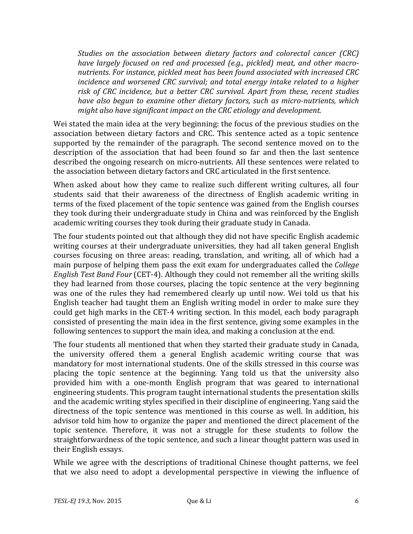*Studies* on the association between dietary factors and colorectal cancer (CRC) *have largely focused on red and processed (e.g., pickled) meat, and other macro*nutrients. For instance, pickled meat has been found associated with increased CRC *incidence and worsened CRC survival; and total energy intake related to a higher* risk of CRC incidence, but a better CRC survival. Apart from these, recent studies *have also begun to examine other dietary factors, such as micro-nutrients, which might also have significant impact on the CRC etiology and development.* 

Wei stated the main idea at the very beginning: the focus of the previous studies on the association between dietary factors and CRC. This sentence acted as a topic sentence supported by the remainder of the paragraph. The second sentence moved on to the description of the association that had been found so far and then the last sentence described the ongoing research on micro-nutrients. All these sentences were related to the association between dietary factors and CRC articulated in the first sentence.

When asked about how they came to realize such different writing cultures, all four students said that their awareness of the directness of English academic writing in terms of the fixed placement of the topic sentence was gained from the English courses they took during their undergraduate study in China and was reinforced by the English academic writing courses they took during their graduate study in Canada.

The four students pointed out that although they did not have specific English academic writing courses at their undergraduate universities, they had all taken general English courses focusing on three areas: reading, translation, and writing, all of which had a main purpose of helping them pass the exit exam for undergraduates called the *College English Test Band Four* (CET-4). Although they could not remember all the writing skills they had learned from those courses, placing the topic sentence at the very beginning was one of the rules they had remembered clearly up until now. Wei told us that his English teacher had taught them an English writing model in order to make sure they could get high marks in the CET-4 writing section. In this model, each body paragraph consisted of presenting the main idea in the first sentence, giving some examples in the following sentences to support the main idea, and making a conclusion at the end.

The four students all mentioned that when they started their graduate study in Canada, the university offered them a general English academic writing course that was mandatory for most international students. One of the skills stressed in this course was placing the topic sentence at the beginning. Yang told us that the university also provided him with a one-month English program that was geared to international engineering students. This program taught international students the presentation skills and the academic writing styles specified in their discipline of engineering. Yang said the directness of the topic sentence was mentioned in this course as well. In addition, his advisor told him how to organize the paper and mentioned the direct placement of the topic sentence. Therefore, it was not a struggle for these students to follow the straightforwardness of the topic sentence, and such a linear thought pattern was used in their English essays.

While we agree with the descriptions of traditional Chinese thought patterns, we feel that we also need to adopt a developmental perspective in viewing the influence of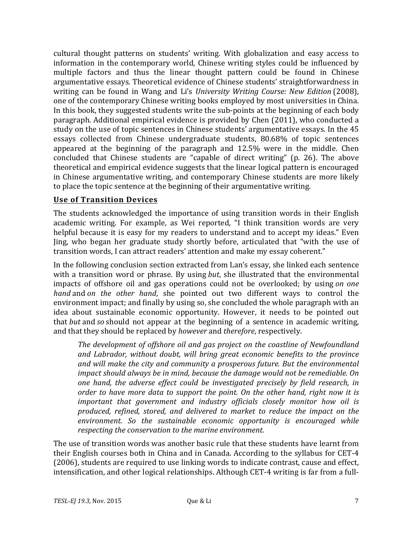cultural thought patterns on students' writing. With globalization and easy access to information in the contemporary world, Chinese writing styles could be influenced by multiple factors and thus the linear thought pattern could be found in Chinese argumentative essays. Theoretical evidence of Chinese students' straightforwardness in writing can be found in Wang and Li's *University Writing Course: New Edition* (2008), one of the contemporary Chinese writing books employed by most universities in China. In this book, they suggested students write the sub-points at the beginning of each body paragraph. Additional empirical evidence is provided by Chen (2011), who conducted a study on the use of topic sentences in Chinese students' argumentative essays. In the 45 essays collected from Chinese undergraduate students, 80.68% of topic sentences appeared at the beginning of the paragraph and 12.5% were in the middle. Chen concluded that Chinese students are "capable of direct writing" (p. 26). The above theoretical and empirical evidence suggests that the linear logical pattern is encouraged in Chinese argumentative writing, and contemporary Chinese students are more likely to place the topic sentence at the beginning of their argumentative writing.

### **Use of Transition Devices**

The students acknowledged the importance of using transition words in their English academic writing. For example, as Wei reported, "I think transition words are very helpful because it is easy for my readers to understand and to accept my ideas." Even ling, who began her graduate study shortly before, articulated that "with the use of transition words, I can attract readers' attention and make my essay coherent."

In the following conclusion section extracted from Lan's essay, she linked each sentence with a transition word or phrase. By using *but*, she illustrated that the environmental impacts of offshore oil and gas operations could not be overlooked; by using *on* one *hand* and *on the other hand*, she pointed out two different ways to control the environment impact; and finally by using so, she concluded the whole paragraph with an idea about sustainable economic opportunity. However, it needs to be pointed out that *but* and so should not appear at the beginning of a sentence in academic writing, and that they should be replaced by *however* and *therefore*, respectively.

The development of offshore oil and gas project on the coastline of Newfoundland and Labrador, without doubt, will bring great economic benefits to the province and will make the city and community a prosperous future. But the environmental *impact should always be in mind, because the damage would not be remediable. On one hand, the adverse effect could be investigated precisely by field research, in order to have more data to support the point. On the other hand, right now it is important that government and industry officials closely monitor how oil is* produced, refined, stored, and delivered to market to reduce the *impact* on the environment. So the sustainable economic opportunity is encouraged while *respecting the conservation to the marine environment.* 

The use of transition words was another basic rule that these students have learnt from their English courses both in China and in Canada. According to the syllabus for CET-4 (2006), students are required to use linking words to indicate contrast, cause and effect, intensification, and other logical relationships. Although CET-4 writing is far from a full-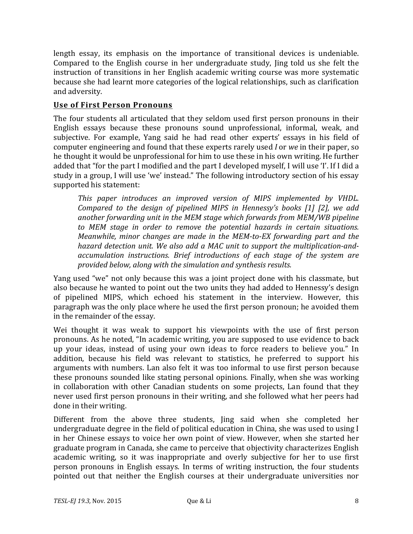length essay, its emphasis on the importance of transitional devices is undeniable. Compared to the English course in her undergraduate study, ling told us she felt the instruction of transitions in her English academic writing course was more systematic because she had learnt more categories of the logical relationships, such as clarification and adversity.

### **Use of First Person Pronouns**

The four students all articulated that they seldom used first person pronouns in their English essays because these pronouns sound unprofessional, informal, weak, and subjective. For example, Yang said he had read other experts' essays in his field of computer engineering and found that these experts rarely used *I* or *we* in their paper, so he thought it would be unprofessional for him to use these in his own writing. He further added that "for the part I modified and the part I developed myself, I will use 'I'. If I did a study in a group, I will use 'we' instead." The following introductory section of his essay supported his statement:

This paper introduces an improved version of MIPS implemented by VHDL. *Compared to the design of pipelined MIPS in Hennessy's books [1] [2], we add* another forwarding unit in the MEM stage which forwards from MEM/WB pipeline *to* MEM stage in order to remove the potential hazards in certain situations. *Meanwhile, minor changes are made in the MEM-to-EX forwarding part and the* hazard detection unit. We also add a MAC unit to support the multiplication-and*accumulation instructions. Brief introductions of each stage of the system are provided below, along with the simulation and synthesis results.*

Yang used "we" not only because this was a joint project done with his classmate, but also because he wanted to point out the two units they had added to Hennessy's design of pipelined MIPS, which echoed his statement in the interview. However, this paragraph was the only place where he used the first person pronoun; he avoided them in the remainder of the essay.

Wei thought it was weak to support his viewpoints with the use of first person pronouns. As he noted, "In academic writing, you are supposed to use evidence to back up your ideas, instead of using your own ideas to force readers to believe you." In addition, because his field was relevant to statistics, he preferred to support his arguments with numbers. Lan also felt it was too informal to use first person because these pronouns sounded like stating personal opinions. Finally, when she was working in collaboration with other Canadian students on some projects, Lan found that they never used first person pronouns in their writing, and she followed what her peers had done in their writing.

Different from the above three students, Jing said when she completed her undergraduate degree in the field of political education in China, she was used to using I in her Chinese essays to voice her own point of view. However, when she started her graduate program in Canada, she came to perceive that objectivity characterizes English academic writing, so it was inappropriate and overly subjective for her to use first person pronouns in English essays. In terms of writing instruction, the four students pointed out that neither the English courses at their undergraduate universities nor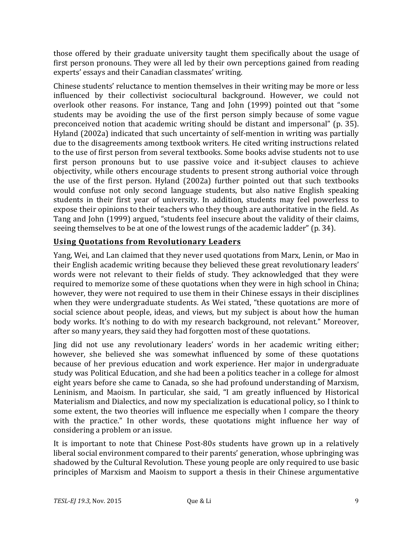those offered by their graduate university taught them specifically about the usage of first person pronouns. They were all led by their own perceptions gained from reading experts' essays and their Canadian classmates' writing.

Chinese students' reluctance to mention themselves in their writing may be more or less influenced by their collectivist sociocultural background. However, we could not overlook other reasons. For instance, Tang and John (1999) pointed out that "some students may be avoiding the use of the first person simply because of some vague preconceived notion that academic writing should be distant and impersonal" (p. 35). Hyland (2002a) indicated that such uncertainty of self-mention in writing was partially due to the disagreements among textbook writers. He cited writing instructions related to the use of first person from several textbooks. Some books advise students not to use first person pronouns but to use passive voice and it-subject clauses to achieve objectivity, while others encourage students to present strong authorial voice through the use of the first person. Hyland (2002a) further pointed out that such textbooks would confuse not only second language students, but also native English speaking students in their first year of university. In addition, students may feel powerless to expose their opinions to their teachers who they though are authoritative in the field. As Tang and John (1999) argued, "students feel insecure about the validity of their claims. seeing themselves to be at one of the lowest rungs of the academic ladder" (p. 34).

# **Using Quotations from Revolutionary Leaders**

Yang, Wei, and Lan claimed that they never used quotations from Marx, Lenin, or Mao in their English academic writing because they believed these great revolutionary leaders' words were not relevant to their fields of study. They acknowledged that they were required to memorize some of these quotations when they were in high school in China; however, they were not required to use them in their Chinese essays in their disciplines when they were undergraduate students. As Wei stated, "these quotations are more of social science about people, ideas, and views, but my subject is about how the human body works. It's nothing to do with my research background, not relevant." Moreover, after so many years, they said they had forgotten most of these quotations.

Jing did not use any revolutionary leaders' words in her academic writing either; however, she believed she was somewhat influenced by some of these quotations because of her previous education and work experience. Her major in undergraduate study was Political Education, and she had been a politics teacher in a college for almost eight years before she came to Canada, so she had profound understanding of Marxism, Leninism, and Maoism. In particular, she said, "I am greatly influenced by Historical Materialism and Dialectics, and now my specialization is educational policy, so I think to some extent, the two theories will influence me especially when I compare the theory with the practice." In other words, these quotations might influence her way of considering a problem or an issue.

It is important to note that Chinese Post-80s students have grown up in a relatively liberal social environment compared to their parents' generation, whose upbringing was shadowed by the Cultural Revolution. These young people are only required to use basic principles of Marxism and Maoism to support a thesis in their Chinese argumentative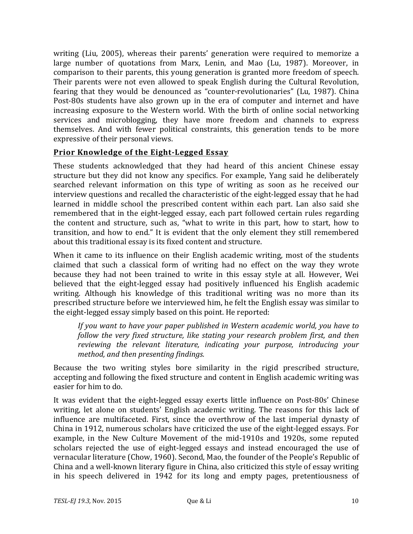writing (Liu, 2005), whereas their parents' generation were required to memorize a large number of quotations from Marx, Lenin, and Mao (Lu, 1987). Moreover, in comparison to their parents, this young generation is granted more freedom of speech. Their parents were not even allowed to speak English during the Cultural Revolution, fearing that they would be denounced as "counter-revolutionaries" (Lu, 1987). China Post-80s students have also grown up in the era of computer and internet and have increasing exposure to the Western world. With the birth of online social networking services and microblogging, they have more freedom and channels to express themselves. And with fewer political constraints, this generation tends to be more expressive of their personal views.

### **Prior Knowledge of the Eight-Legged Essay**

These students acknowledged that they had heard of this ancient Chinese essay structure but they did not know any specifics. For example, Yang said he deliberately searched relevant information on this type of writing as soon as he received our interview questions and recalled the characteristic of the eight-legged essay that he had learned in middle school the prescribed content within each part. Lan also said she remembered that in the eight-legged essay, each part followed certain rules regarding the content and structure, such as, "what to write in this part, how to start, how to transition, and how to end." It is evident that the only element they still remembered about this traditional essay is its fixed content and structure.

When it came to its influence on their English academic writing, most of the students claimed that such a classical form of writing had no effect on the way they wrote because they had not been trained to write in this essay style at all. However, Wei believed that the eight-legged essay had positively influenced his English academic writing. Although his knowledge of this traditional writing was no more than its prescribed structure before we interviewed him, he felt the English essay was similar to the eight-legged essay simply based on this point. He reported:

*If* you want to have your paper published in Western academic world, you have to *follow the very fixed structure, like stating your research problem first, and then reviewing the relevant literature, indicating your purpose, introducing your method, and then presenting findings.* 

Because the two writing styles bore similarity in the rigid prescribed structure, accepting and following the fixed structure and content in English academic writing was easier for him to do.

It was evident that the eight-legged essay exerts little influence on Post-80s' Chinese writing, let alone on students' English academic writing. The reasons for this lack of influence are multifaceted. First, since the overthrow of the last imperial dynasty of China in 1912, numerous scholars have criticized the use of the eight-legged essays. For example, in the New Culture Movement of the mid-1910s and 1920s, some reputed scholars rejected the use of eight-legged essays and instead encouraged the use of vernacular literature (Chow, 1960). Second, Mao, the founder of the People's Republic of China and a well-known literary figure in China, also criticized this style of essay writing in his speech delivered in 1942 for its long and empty pages, pretentiousness of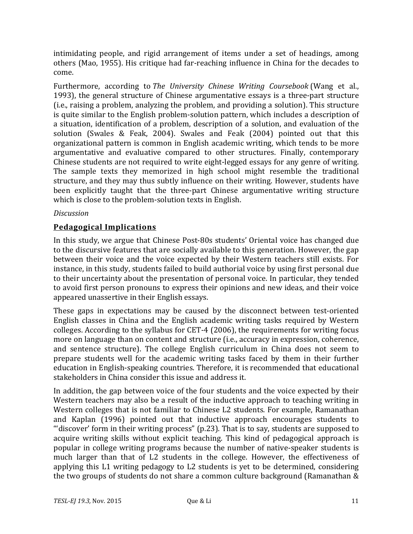intimidating people, and rigid arrangement of items under a set of headings, among others (Mao, 1955). His critique had far-reaching influence in China for the decades to come.

Furthermore, according to *The University Chinese Writing Coursebook* (Wang et al., 1993), the general structure of Chinese argumentative essays is a three-part structure (i.e., raising a problem, analyzing the problem, and providing a solution). This structure is quite similar to the English problem-solution pattern, which includes a description of a situation, identification of a problem, description of a solution, and evaluation of the solution (Swales & Feak, 2004). Swales and Feak (2004) pointed out that this organizational pattern is common in English academic writing, which tends to be more argumentative and evaluative compared to other structures. Finally, contemporary Chinese students are not required to write eight-legged essays for any genre of writing. The sample texts they memorized in high school might resemble the traditional structure, and they may thus subtly influence on their writing. However, students have been explicitly taught that the three-part Chinese argumentative writing structure which is close to the problem-solution texts in English.

### *Discussion*

## **Pedagogical Implications**

In this study, we argue that Chinese Post-80s students' Oriental voice has changed due to the discursive features that are socially available to this generation. However, the gap between their voice and the voice expected by their Western teachers still exists. For instance, in this study, students failed to build authorial voice by using first personal due to their uncertainty about the presentation of personal voice. In particular, they tended to avoid first person pronouns to express their opinions and new ideas, and their voice appeared unassertive in their English essays.

These gaps in expectations may be caused by the disconnect between test-oriented English classes in China and the English academic writing tasks required by Western colleges. According to the syllabus for CET-4 (2006), the requirements for writing focus more on language than on content and structure (i.e., accuracy in expression, coherence, and sentence structure). The college English curriculum in China does not seem to prepare students well for the academic writing tasks faced by them in their further education in English-speaking countries. Therefore, it is recommended that educational stakeholders in China consider this issue and address it.

In addition, the gap between voice of the four students and the voice expected by their Western teachers may also be a result of the inductive approach to teaching writing in Western colleges that is not familiar to Chinese L2 students. For example, Ramanathan and Kaplan (1996) pointed out that inductive approach encourages students to "'discover' form in their writing process"  $(p.23)$ . That is to say, students are supposed to acquire writing skills without explicit teaching. This kind of pedagogical approach is popular in college writing programs because the number of native-speaker students is much larger than that of L2 students in the college. However, the effectiveness of applying this L1 writing pedagogy to L2 students is yet to be determined, considering the two groups of students do not share a common culture background (Ramanathan  $&$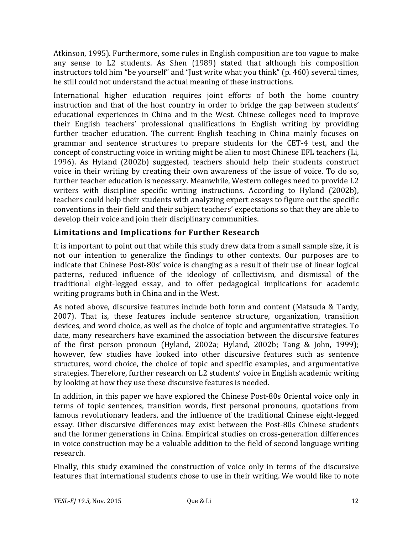Atkinson, 1995). Furthermore, some rules in English composition are too vague to make any sense to L2 students. As Shen (1989) stated that although his composition instructors told him "be yourself" and "Just write what you think" (p. 460) several times, he still could not understand the actual meaning of these instructions.

International higher education requires joint efforts of both the home country instruction and that of the host country in order to bridge the gap between students' educational experiences in China and in the West. Chinese colleges need to improve their English teachers' professional qualifications in English writing by providing further teacher education. The current English teaching in China mainly focuses on grammar and sentence structures to prepare students for the CET-4 test, and the concept of constructing voice in writing might be alien to most Chinese EFL teachers (Li, 1996). As Hyland (2002b) suggested, teachers should help their students construct voice in their writing by creating their own awareness of the issue of voice. To do so, further teacher education is necessary. Meanwhile, Western colleges need to provide L2 writers with discipline specific writing instructions. According to Hyland (2002b), teachers could help their students with analyzing expert essays to figure out the specific conventions in their field and their subject teachers' expectations so that they are able to develop their voice and join their disciplinary communities.

# **Limitations and Implications for Further Research**

It is important to point out that while this study drew data from a small sample size, it is not our intention to generalize the findings to other contexts. Our purposes are to indicate that Chinese Post-80s' voice is changing as a result of their use of linear logical patterns, reduced influence of the ideology of collectivism, and dismissal of the traditional eight-legged essay, and to offer pedagogical implications for academic writing programs both in China and in the West.

As noted above, discursive features include both form and content (Matsuda & Tardy, 2007). That is, these features include sentence structure, organization, transition devices, and word choice, as well as the choice of topic and argumentative strategies. To date, many researchers have examined the association between the discursive features of the first person pronoun (Hyland, 2002a; Hyland, 2002b; Tang & John, 1999); however, few studies have looked into other discursive features such as sentence structures, word choice, the choice of topic and specific examples, and argumentative strategies. Therefore, further research on L2 students' voice in English academic writing by looking at how they use these discursive features is needed.

In addition, in this paper we have explored the Chinese Post-80s Oriental voice only in terms of topic sentences, transition words, first personal pronouns, quotations from famous revolutionary leaders, and the influence of the traditional Chinese eight-legged essay. Other discursive differences may exist between the Post-80s Chinese students and the former generations in China. Empirical studies on cross-generation differences in voice construction may be a valuable addition to the field of second language writing research.

Finally, this study examined the construction of voice only in terms of the discursive features that international students chose to use in their writing. We would like to note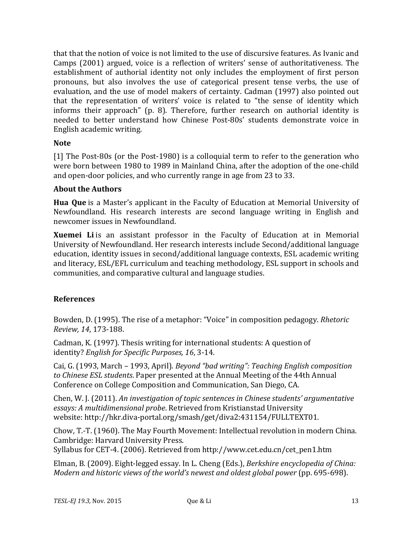that that the notion of voice is not limited to the use of discursive features. As Ivanic and Camps (2001) argued, voice is a reflection of writers' sense of authoritativeness. The establishment of authorial identity not only includes the employment of first person pronouns, but also involves the use of categorical present tense verbs, the use of evaluation, and the use of model makers of certainty. Cadman (1997) also pointed out that the representation of writers' voice is related to "the sense of identity which informs their approach" (p. 8). Therefore, further research on authorial identity is needed to better understand how Chinese Post-80s' students demonstrate voice in English academic writing.

### **Note**

[1] The Post-80s (or the Post-1980) is a colloquial term to refer to the generation who were born between 1980 to 1989 in Mainland China, after the adoption of the one-child and open-door policies, and who currently range in age from 23 to 33.

#### **About the Authors**

**Hua Que** is a Master's applicant in the Faculty of Education at Memorial University of Newfoundland. His research interests are second language writing in English and newcomer issues in Newfoundland.

**Xuemei** Li is an assistant professor in the Faculty of Education at in Memorial University of Newfoundland. Her research interests include Second/additional language education, identity issues in second/additional language contexts, ESL academic writing and literacy, ESL/EFL curriculum and teaching methodology, ESL support in schools and communities, and comparative cultural and language studies.

### **References**

Bowden, D. (1995). The rise of a metaphor: "Voice" in composition pedagogy. *Rhetoric Review, 14*, 173-188.

Cadman, K. (1997). Thesis writing for international students: A question of identity? *English for Specific Purposes, 16*, 3-14.

Cai, G. (1993, March – 1993, April). *Beyond "bad writing": Teaching English composition* to *Chinese ESL students*. Paper presented at the Annual Meeting of the 44th Annual Conference on College Composition and Communication, San Diego, CA.

Chen, W. J. (2011). *An investigation of topic sentences in Chinese students' argumentative essays: A multidimensional probe*. Retrieved from Kristianstad University website: http://hkr.diva-portal.org/smash/get/diva2:431154/FULLTEXT01.

Chow, T.-T. (1960). The May Fourth Movement: Intellectual revolution in modern China. Cambridge: Harvard University Press.

Syllabus for CET-4. (2006). Retrieved from http://www.cet.edu.cn/cet\_pen1.htm

Elman, B. (2009). Eight-legged essay. In L. Cheng (Eds.), *Berkshire encyclopedia of China: Modern and historic views of the world's newest and oldest global power* (pp. 695-698).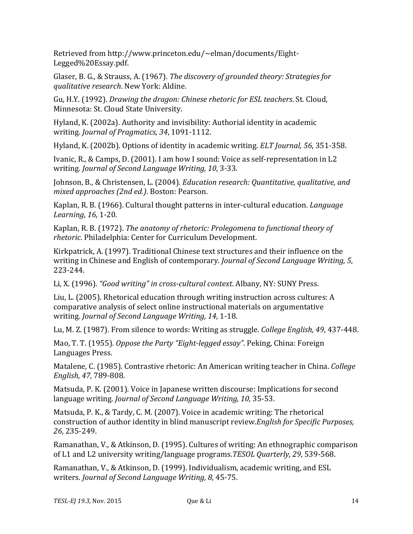Retrieved from http://www.princeton.edu/~elman/documents/Eight-Legged%20Essay.pdf.

Glaser, B. G., & Strauss, A. (1967). *The discovery of grounded theory: Strategies for qualitative research*. New York: Aldine.

Gu, H.Y. (1992). *Drawing the dragon: Chinese rhetoric for ESL teachers*. St. Cloud, Minnesota: St. Cloud State University.

Hyland, K. (2002a). Authority and invisibility: Authorial identity in academic writing. *Journal of Pragmatics, 34*, 1091-1112.

Hyland, K. (2002b). Options of identity in academic writing. *ELT Journal*, 56, 351-358.

Ivanic, R., & Camps, D. (2001). I am how I sound: Voice as self-representation in L2 writing. *Journal of Second Language Writing, 10*, 3-33.

Johnson, B., & Christensen, L. (2004). *Education research: Quantitative, qualitative, and mixed approaches (2nd ed.)*. Boston: Pearson.

Kaplan, R. B. (1966). Cultural thought patterns in inter-cultural education. *Language Learning, 16, 1-20.* 

Kaplan, R. B. (1972). *The anatomy of rhetoric: Prolegomena to functional theory of rhetoric*. Philadelphia: Center for Curriculum Development.

Kirkpatrick, A. (1997). Traditional Chinese text structures and their influence on the writing in Chinese and English of contemporary. *Journal of Second Language Writing*, 5, 223-244.

Li, X. (1996). *"Good writing" in cross-cultural context*. Albany, NY: SUNY Press.

Liu, L. (2005). Rhetorical education through writing instruction across cultures: A comparative analysis of select online instructional materials on argumentative writing. *Journal of Second Language Writing, 14*, 1-18.

Lu, M. Z. (1987). From silence to words: Writing as struggle. *College English*, 49, 437-448.

Mao, T. T. (1955). *Oppose the Party "Eight-legged essay"*. Peking, China: Foreign Languages Press.

Matalene, C. (1985). Contrastive rhetoric: An American writing teacher in China. *College English, 47*, 789-808.

Matsuda, P. K. (2001). Voice in Japanese written discourse: Implications for second language writing. *Journal of Second Language Writing, 10*, 35-53.

Matsuda, P. K., & Tardy, C. M. (2007). Voice in academic writing: The rhetorical construction of author identity in blind manuscript review.*English for Specific Purposes, 26*, 235-249.

Ramanathan, V., & Atkinson, D. (1995). Cultures of writing: An ethnographic comparison of L1 and L2 university writing/language programs.*TESOL Quarterly, 29*, 539-568.

Ramanathan, V., & Atkinson, D. (1999). Individualism, academic writing, and ESL writers. *Journal of Second Language Writing, 8*, 45-75.